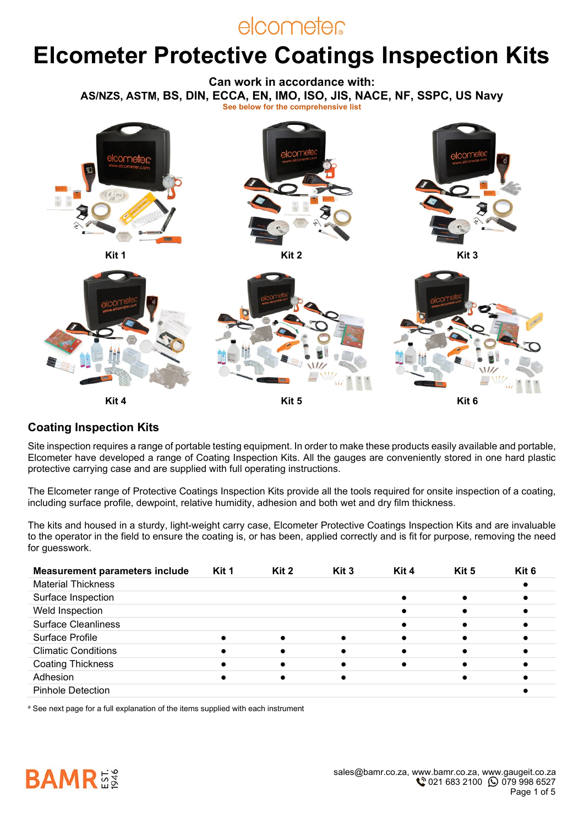# elcometer

# **Elcometer Protective Coatings Inspection Kits**

**Can work in accordance with: AS/NZS, ASTM, BS, DIN, ECCA, EN, IMO, ISO, JIS, NACE, NF, SSPC, US Navy See below for the comprehensive list**



#### **Coating Inspection Kits**

Site inspection requires a range of portable testing equipment. In order to make these products easily available and portable, Elcometer have developed a range of Coating Inspection Kits. All the gauges are conveniently stored in one hard plastic protective carrying case and are supplied with full operating instructions.

The Elcometer range of Protective Coatings Inspection Kits provide all the tools required for onsite inspection of a coating, including surface profile, dewpoint, relative humidity, adhesion and both wet and dry film thickness.

The kits and housed in a sturdy, light-weight carry case, Elcometer Protective Coatings Inspection Kits and are invaluable to the operator in the field to ensure the coating is, or has been, applied correctly and is fit for purpose, removing the need for guesswork.

| <b>Measurement parameters include</b> | Kit 1 | Kit 2 | Kit 3     | Kit 4 | Kit 5 | Kit 6 |
|---------------------------------------|-------|-------|-----------|-------|-------|-------|
| <b>Material Thickness</b>             |       |       |           |       |       |       |
| Surface Inspection                    |       |       |           |       |       |       |
| Weld Inspection                       |       |       |           |       |       |       |
| <b>Surface Cleanliness</b>            |       |       |           |       |       |       |
| Surface Profile                       |       |       | $\bullet$ |       |       |       |
| <b>Climatic Conditions</b>            |       |       |           |       |       |       |
| <b>Coating Thickness</b>              |       |       |           |       |       |       |
| Adhesion                              |       |       |           |       |       |       |
| <b>Pinhole Detection</b>              |       |       |           |       |       |       |

a See next page for a full explanation of the items supplied with each instrument

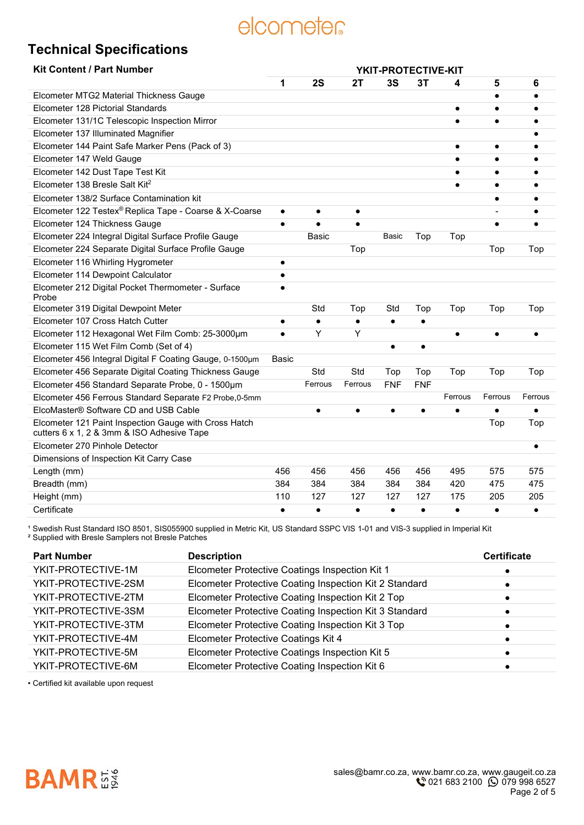# elcometer

## **Technical Specifications**

| <b>Kit Content / Part Number</b>                                                                    | YKIT-PROTECTIVE-KIT |           |           |            |            |           |           |           |
|-----------------------------------------------------------------------------------------------------|---------------------|-----------|-----------|------------|------------|-----------|-----------|-----------|
|                                                                                                     | 1                   | 2S        | 2Τ        | 3S         | 3T         | 4         | 5         | 6         |
| Elcometer MTG2 Material Thickness Gauge                                                             |                     |           |           |            |            |           | $\bullet$ |           |
| Elcometer 128 Pictorial Standards                                                                   |                     |           |           |            |            | $\bullet$ | $\bullet$ |           |
| Elcometer 131/1C Telescopic Inspection Mirror                                                       |                     |           |           |            |            |           | $\bullet$ |           |
| Elcometer 137 Illuminated Magnifier                                                                 |                     |           |           |            |            |           |           |           |
| Elcometer 144 Paint Safe Marker Pens (Pack of 3)                                                    |                     |           |           |            |            | $\bullet$ | $\bullet$ |           |
| Elcometer 147 Weld Gauge                                                                            |                     |           |           |            |            | $\bullet$ | $\bullet$ |           |
| Elcometer 142 Dust Tape Test Kit                                                                    |                     |           |           |            |            | $\bullet$ | $\bullet$ |           |
| Elcometer 138 Bresle Salt Kit <sup>2</sup>                                                          |                     |           |           |            |            | $\bullet$ | $\bullet$ |           |
| Elcometer 138/2 Surface Contamination kit                                                           |                     |           |           |            |            |           | $\bullet$ |           |
| Elcometer 122 Testex® Replica Tape - Coarse & X-Coarse                                              | $\bullet$           | $\bullet$ | $\bullet$ |            |            |           |           |           |
| Elcometer 124 Thickness Gauge                                                                       | $\bullet$           | $\bullet$ | $\bullet$ |            |            |           | $\bullet$ |           |
| Elcometer 224 Integral Digital Surface Profile Gauge                                                |                     | Basic     |           | Basic      | Top        | Top       |           |           |
| Elcometer 224 Separate Digital Surface Profile Gauge                                                |                     |           | Top       |            |            |           | Top       | Top       |
| Elcometer 116 Whirling Hygrometer                                                                   | $\bullet$           |           |           |            |            |           |           |           |
| Elcometer 114 Dewpoint Calculator                                                                   | $\bullet$           |           |           |            |            |           |           |           |
| Elcometer 212 Digital Pocket Thermometer - Surface<br>Probe                                         | $\bullet$           |           |           |            |            |           |           |           |
| Elcometer 319 Digital Dewpoint Meter                                                                |                     | Std       | Top       | Std        | Top        | Top       | Top       | Top       |
| Elcometer 107 Cross Hatch Cutter                                                                    | $\bullet$           | $\bullet$ | $\bullet$ | $\bullet$  | $\bullet$  |           |           |           |
| Elcometer 112 Hexagonal Wet Film Comb: 25-3000µm                                                    | $\bullet$           | Y         | Y         |            |            | $\bullet$ | $\bullet$ |           |
| Elcometer 115 Wet Film Comb (Set of 4)                                                              |                     |           |           | $\bullet$  | $\bullet$  |           |           |           |
| Elcometer 456 Integral Digital F Coating Gauge, 0-1500um                                            | Basic               |           |           |            |            |           |           |           |
| Elcometer 456 Separate Digital Coating Thickness Gauge                                              |                     | Std       | Std       | Top        | Top        | Top       | Top       | Top       |
| Elcometer 456 Standard Separate Probe, 0 - 1500um                                                   |                     | Ferrous   | Ferrous   | <b>FNF</b> | <b>FNF</b> |           |           |           |
| Elcometer 456 Ferrous Standard Separate F2 Probe, 0-5mm                                             |                     |           |           |            |            | Ferrous   | Ferrous   | Ferrous   |
| ElcoMaster® Software CD and USB Cable                                                               |                     | $\bullet$ | $\bullet$ | $\bullet$  | $\bullet$  | $\bullet$ | $\bullet$ |           |
| Elcometer 121 Paint Inspection Gauge with Cross Hatch<br>cutters 6 x 1, 2 & 3mm & ISO Adhesive Tape |                     |           |           |            |            |           | Top       | Top       |
| Elcometer 270 Pinhole Detector                                                                      |                     |           |           |            |            |           |           | $\bullet$ |
| Dimensions of Inspection Kit Carry Case                                                             |                     |           |           |            |            |           |           |           |
| Length (mm)                                                                                         | 456                 | 456       | 456       | 456        | 456        | 495       | 575       | 575       |
| Breadth (mm)                                                                                        | 384                 | 384       | 384       | 384        | 384        | 420       | 475       | 475       |
| Height (mm)                                                                                         | 110                 | 127       | 127       | 127        | 127        | 175       | 205       | 205       |
| Certificate                                                                                         | $\bullet$           | $\bullet$ | $\bullet$ | $\bullet$  | $\bullet$  | $\bullet$ | $\bullet$ | $\bullet$ |
|                                                                                                     |                     |           |           |            |            |           |           |           |

<sup>1</sup> Swedish Rust Standard ISO 8501, SIS055900 supplied in Metric Kit, US Standard SSPC VIS 1-01 and VIS-3 supplied in Imperial Kit

² Supplied with Bresle Samplers not Bresle Patches

| <b>Part Number</b>  | <b>Description</b>                                     | <b>Certificate</b> |
|---------------------|--------------------------------------------------------|--------------------|
| YKIT-PROTECTIVE-1M  | Elcometer Protective Coatings Inspection Kit 1         |                    |
| YKIT-PROTECTIVE-2SM | Elcometer Protective Coating Inspection Kit 2 Standard |                    |
| YKIT-PROTECTIVE-2TM | Elcometer Protective Coating Inspection Kit 2 Top      |                    |
| YKIT-PROTECTIVE-3SM | Elcometer Protective Coating Inspection Kit 3 Standard |                    |
| YKIT-PROTECTIVE-3TM | Elcometer Protective Coating Inspection Kit 3 Top      |                    |
| YKIT-PROTECTIVE-4M  | Elcometer Protective Coatings Kit 4                    |                    |
| YKIT-PROTECTIVE-5M  | Elcometer Protective Coatings Inspection Kit 5         |                    |
| YKIT-PROTECTIVE-6M  | Elcometer Protective Coating Inspection Kit 6          |                    |

• Certified kit available upon request

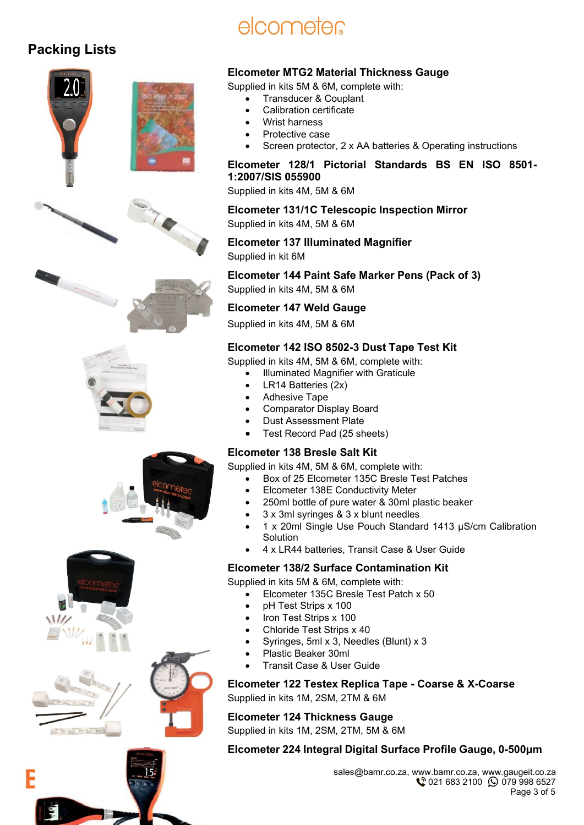## **Packing Lists**



# elcometer

### **Elcometer MTG2 Material Thickness Gauge**

Supplied in kits 5M & 6M, complete with:

- Transducer & Couplant
- Calibration certificate
- Wrist harness
- Protective case
- Screen protector, 2 x AA batteries & Operating instructions

#### **Elcometer 128/1 Pictorial Standards BS EN ISO 8501- 1:2007/SIS 055900**

Supplied in kits 4M, 5M & 6M

**Elcometer 131/1C Telescopic Inspection Mirror** Supplied in kits 4M, 5M & 6M

#### **Elcometer 137 Illuminated Magnifier**  Supplied in kit 6M

**Elcometer 144 Paint Safe Marker Pens (Pack of 3)** Supplied in kits 4M, 5M & 6M

**Elcometer 147 Weld Gauge** 

Supplied in kits 4M, 5M & 6M

### **Elcometer 142 ISO 8502-3 Dust Tape Test Kit**

Supplied in kits 4M, 5M & 6M, complete with:

• Illuminated Magnifier with Graticule

- LR14 Batteries (2x)
- Adhesive Tape
- Comparator Display Board
- Dust Assessment Plate
- Test Record Pad (25 sheets)

#### **Elcometer 138 Bresle Salt Kit**

Supplied in kits 4M, 5M & 6M, complete with:

- Box of 25 Elcometer 135C Bresle Test Patches
- Elcometer 138E Conductivity Meter
- 250ml bottle of pure water & 30ml plastic beaker
- 3 x 3ml syringes & 3 x blunt needles
- 1 x 20ml Single Use Pouch Standard 1413 µS/cm Calibration **Solution**
- 4 x LR44 batteries, Transit Case & User Guide

#### **Elcometer 138/2 Surface Contamination Kit**

Supplied in kits 5M & 6M, complete with:

- Elcometer 135C Bresle Test Patch x 50
- pH Test Strips x 100
- Iron Test Strips x 100
- Chloride Test Strips x 40
- Syringes, 5ml x 3, Needles (Blunt) x 3
- Plastic Beaker 30ml
- Transit Case & User Guide

**Elcometer 122 Testex Replica Tape - Coarse & X-Coarse** 

Supplied in kits 1M, 2SM, 2TM & 6M

**Elcometer 124 Thickness Gauge** 

Supplied in kits 1M, 2SM, 2TM, 5M & 6M

#### **Elcometer 224 Integral Digital Surface Profile Gauge, 0-500μm**

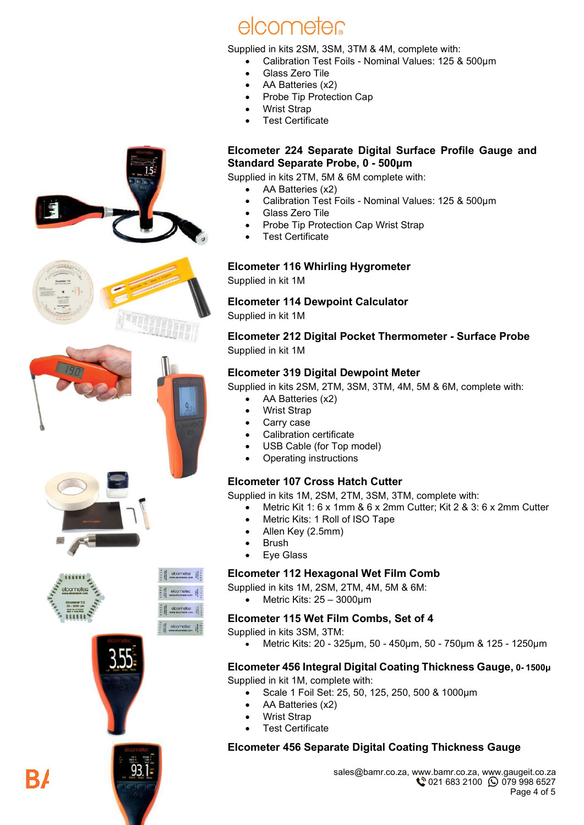



Supplied in kits 2SM, 3SM, 3TM & 4M, complete with:

- Calibration Test Foils Nominal Values: 125 & 500μm
	- Glass Zero Tile
- AA Batteries (x2)
- Probe Tip Protection Cap
- Wrist Strap
- **Test Certificate**

#### **Elcometer 224 Separate Digital Surface Profile Gauge and Standard Separate Probe, 0 - 500μm**

Supplied in kits 2TM, 5M & 6M complete with:

- AA Batteries (x2)
- Calibration Test Foils Nominal Values: 125 & 500μm
- Glass Zero Tile
- Probe Tip Protection Cap Wrist Strap
- **Test Certificate**

#### **Elcometer 116 Whirling Hygrometer**

Supplied in kit 1M

**Elcometer 114 Dewpoint Calculator**  Supplied in kit 1M

**Elcometer 212 Digital Pocket Thermometer - Surface Probe** Supplied in kit 1M

#### **Elcometer 319 Digital Dewpoint Meter**

Supplied in kits 2SM, 2TM, 3SM, 3TM, 4M, 5M & 6M, complete with:

- AA Batteries (x2)
- Wrist Strap
- Carry case
- Calibration certificate
- USB Cable (for Top model)
- Operating instructions

#### **Elcometer 107 Cross Hatch Cutter**

Supplied in kits 1M, 2SM, 2TM, 3SM, 3TM, complete with:

- Metric Kit 1: 6 x 1mm & 6 x 2mm Cutter; Kit 2 & 3: 6 x 2mm Cutter
- Metric Kits: 1 Roll of ISO Tape
- Allen Key (2.5mm)
- **Brush**
- **Eye Glass**

#### **Elcometer 112 Hexagonal Wet Film Comb**

Supplied in kits 1M, 2SM, 2TM, 4M, 5M & 6M:

• Metric Kits: 25 – 3000μm

#### **Elcometer 115 Wet Film Combs, Set of 4**

- Supplied in kits 3SM, 3TM:
	- Metric Kits: 20 325μm, 50 450μm, 50 750μm & 125 1250μm

## **Elcometer 456 Integral Digital Coating Thickness Gauge, 0- 1500μ**

Supplied in kit 1M, complete with:

- Scale 1 Foil Set: 25, 50, 125, 250, 500 & 1000μm
- AA Batteries (x2)
- Wrist Strap
- **Test Certificate**

## **Elcometer 456 Separate Digital Coating Thickness Gauge**

R7